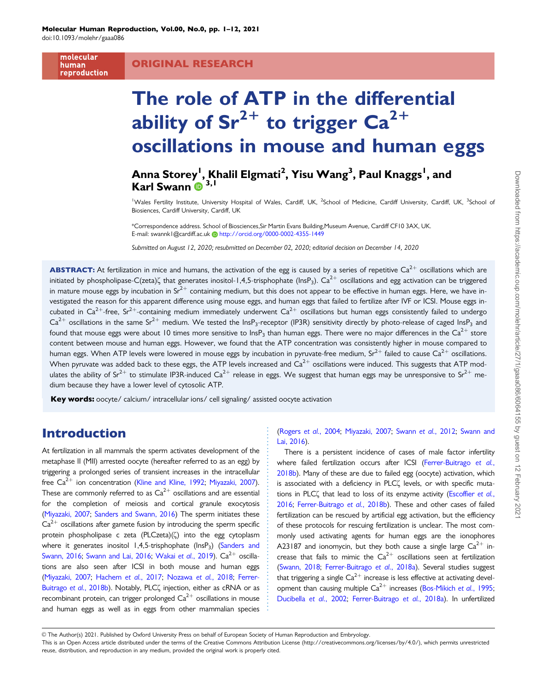molecular human reproduction

#### ORIGINAL RESEARCH

# The role of ATP in the differential ability of  $Sr^{2+}$  to trigger  $Ca^{2+}$ oscillations in mouse and human eggs

## Anna Storey<sup>l</sup>, Khalil Elgmati<sup>2</sup>, Yisu Wang<sup>3</sup>, Paul Knaggs<sup>l</sup>, and Karl Swann <sup>1</sup><sup>3,1</sup>

<sup>1</sup>Wales Fertility Institute, University Hospital of Wales, Cardiff, UK, <sup>2</sup>School of Medicine, Cardiff University, Cardiff, UK, <sup>3</sup>School of Biosiences, Cardiff University, Cardiff, UK

\*Correspondence address. School of Biosciences,Sir Martin Evans Building,Museum Avenue, Cardiff CF10 3AX, UK. E-mail: swannk1@cardiff.ac.uk [http://orcid.org/0000-0002-4355-1449](https://orcid.org/0000-0002-4355-1449)

Submitted on August 12, 2020; resubmitted on December 02, 2020; editorial decision on December 14, 2020

**ABSTRACT:** At fertilization in mice and humans, the activation of the egg is caused by a series of repetitive Ca<sup>2+</sup> oscillations which are initiated by phospholipase-C(zeta) $\zeta$  that generates inositol-1,4,5-trisphophate (lnsP<sub>3</sub>). Ca<sup>2+</sup> oscillations and egg activation can be triggered in mature mouse eggs by incubation in  $Sr^{2+}$  containing medium, but this does not appear to be effective in human eggs. Here, we have investigated the reason for this apparent difference using mouse eggs, and human eggs that failed to fertilize after IVF or ICSI. Mouse eggs incubated in Ca<sup>2+</sup>-free, Sr<sup>2+</sup>-containing medium immediately underwent Ca<sup>2+</sup> oscillations but human eggs consistently failed to undergo  $Ca^{2+}$  oscillations in the same Sr<sup>2+</sup> medium. We tested the InsP<sub>3</sub>-receptor (IP3R) sensitivity directly by photo-release of caged InsP<sub>3</sub> and found that mouse eggs were about 10 times more sensitive to  $\ln SP_3$  than human eggs. There were no major differences in the Ca<sup>2+</sup> store content between mouse and human eggs. However, we found that the ATP concentration was consistently higher in mouse compared to human eggs. When ATP levels were lowered in mouse eggs by incubation in pyruvate-free medium, Sr<sup>2+</sup> failed to cause Ca<sup>2+</sup> oscillations. When pyruvate was added back to these eggs, the ATP levels increased and  $Ca^{2+}$  oscillations were induced. This suggests that ATP modulates the ability of Sr<sup>2+</sup> to stimulate IP3R-induced Ca<sup>2+</sup> release in eggs. We suggest that human eggs may be unresponsive to Sr<sup>2+</sup> medium because they have a lower level of cytosolic ATP.

Key words: oocyte/ calcium/ intracellular ions/ cell signaling/ assisted oocyte activation

### Introduction

At fertilization in all mammals the sperm activates development of the metaphase II (MII) arrested oocyte (hereafter referred to as an egg) by triggering a prolonged series of transient increases in the intracellular free  $Ca^{2+}$  ion concentration ([Kline and Kline, 1992](#page-11-0); [Miyazaki, 2007\)](#page-11-0). These are commonly referred to as  $Ca^{2+}$  oscillations and are essential for the completion of meiosis and cortical granule exocytosis ([Miyazaki, 2007](#page-11-0); [Sanders and Swann, 2016\)](#page-11-0) The sperm initiates these  $Ca<sup>2+</sup>$  oscillations after gamete fusion by introducing the sperm specific protein phospholipase c zeta (PLCzeta)(5) into the egg cytoplasm where it generates inositol 1,4,5-trisphophate (InsP<sub>3</sub>) ([Sanders and](#page-11-0) [Swann, 2016](#page-11-0); [Swann and Lai, 2016](#page-11-0); [Wakai](#page-11-0) et al., 2019).  $Ca^{2+}$  oscillations are also seen after ICSI in both mouse and human eggs ([Miyazaki, 2007;](#page-11-0) [Hachem](#page-10-0) et al., 2017; [Nozawa](#page-11-0) et al., 2018; [Ferrer-](#page-10-0)[Buitrago](#page-10-0) et al., 2018b). Notably, PLC( injection, either as cRNA or as recombinant protein, can trigger prolonged  $Ca^{2+}$  oscillations in mouse and human eggs as well as in eggs from other mammalian species

[\(Rogers](#page-11-0) et al., 2004; [Miyazaki, 2007](#page-11-0); Swann et al.[, 2012;](#page-11-0) [Swann and](#page-11-0) [Lai, 2016\)](#page-11-0).

There is a persistent incidence of cases of male factor infertility where failed fertilization occurs after ICSI [\(Ferrer-Buitrago](#page-10-0) et al., [2018b\)](#page-10-0). Many of these are due to failed egg (oocyte) activation, which is associated with a deficiency in PLC( levels, or with specific muta-tions in PLC( that lead to loss of its enzyme activity [\(Escoffier](#page-10-0) et al., [2016](#page-10-0); [Ferrer-Buitrago](#page-10-0) et al., 2018b). These and other cases of failed fertilization can be rescued by artificial egg activation, but the efficiency of these protocols for rescuing fertilization is unclear. The most commonly used activating agents for human eggs are the ionophores A23187 and ionomycin, but they both cause a single large  $Ca^{2+}$  increase that fails to mimic the  $Ca^{2+}$  oscillations seen at fertilization [\(Swann, 2018;](#page-11-0) [Ferrer-Buitrago](#page-10-0) et al., 2018a). Several studies suggest that triggering a single  $Ca^{2+}$  increase is less effective at activating development than causing multiple  $Ca^{2+}$  increases ([Bos-Mikich](#page-10-0) et al., 1995; [Ducibella](#page-10-0) et al., 2002; [Ferrer-Buitrago](#page-10-0) et al., 2018a). In unfertilized

V<sup>C</sup> The Author(s) 2021. Published by Oxford University Press on behalf of European Society of Human Reproduction and Embryology.

This is an Open Access article distributed under the terms of the Creative Commons Attribution License (http://creativecommons.org/licenses/by/4.0/), which permits unrestricted reuse, distribution, and reproduction in any medium, provided the original work is properly cited.

. . . . . . . . . . . . . . . . . . . . . . . . . . . . . . . . . . . . . . . . . . . . . . . . . . . . . .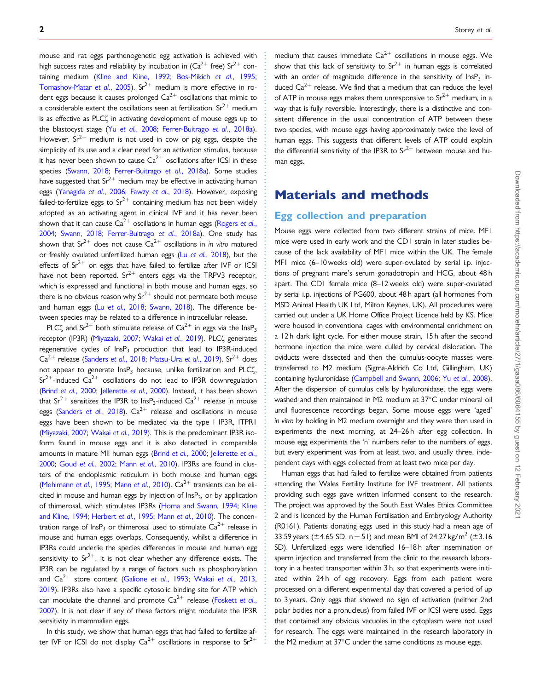. mouse and rat eggs parthenogenetic egg activation is achieved with high success rates and reliability by incubation in  $(Ca^{2+}$  free) Sr<sup>2+</sup> con-taining medium [\(Kline and Kline, 1992;](#page-11-0) [Bos-Mikich](#page-10-0) et al., 1995; [Tomashov-Matar](#page-11-0) et al., 2005). Sr<sup>2+</sup> medium is more effective in rodent eggs because it causes prolonged  $Ca^{2+}$  oscillations that mimic to a considerable extent the oscillations seen at fertilization.  $Sr^{2+}$  medium is as effective as PLC( in activating development of mouse eggs up to the blastocyst stage (Yu et al.[, 2008;](#page-11-0) [Ferrer-Buitrago](#page-10-0) et al., 2018a). However,  $Sr^{2+}$  medium is not used in cow or pig eggs, despite the simplicity of its use and a clear need for an activation stimulus, because it has never been shown to cause  $Ca^{2+}$  oscillations after ICSI in these species [\(Swann, 2018](#page-11-0); [Ferrer-Buitrago](#page-10-0) et al., 2018a). Some studies have suggested that  $Sr^{2+}$  medium may be effective in activating human eggs ([Yanagida](#page-11-0) et al., 2006; Fawzy et al.[, 2018](#page-10-0)). However, exposing failed-to-fertilize eggs to  $Sr^{2+}$  containing medium has not been widely adopted as an activating agent in clinical IVF and it has never been shown that it can cause  $Ca^{2+}$  oscillations in human eggs [\(Rogers](#page-11-0) et al., [2004;](#page-11-0) [Swann, 2018;](#page-11-0) [Ferrer-Buitrago](#page-10-0) et al., 2018a). One study has shown that  $Sr^{2+}$  does not cause  $Ca^{2+}$  oscillations in in vitro matured or freshly ovulated unfertilized human eggs (Lu et al.[, 2018](#page-11-0)), but the effects of  $Sr^{2+}$  on eggs that have failed to fertilize after IVF or ICSI have not been reported.  $Sr^{2+}$  enters eggs via the TRPV3 receptor, which is expressed and functional in both mouse and human eggs, so there is no obvious reason why  $Sr^{2+}$  should not permeate both mouse and human eggs (Lu et al.[, 2018](#page-11-0); [Swann, 2018\)](#page-11-0). The difference between species may be related to a difference in intracellular release.

PLC $\zeta$  and Sr<sup>2+</sup> both stimulate release of Ca<sup>2+</sup> in eggs via the InsP<sub>3</sub> receptor (IP3R) ([Miyazaki, 2007;](#page-11-0) Wakai et al.[, 2019\)](#page-11-0). PLC<sub>4</sub> generates regenerative cycles of  $InsP<sub>3</sub>$  production that lead to IP3R-induced  $Ca^{2+}$  release ([Sanders](#page-11-0) et al., 2018; [Matsu-Ura](#page-11-0) et al., 2019). Sr $^{2+}$  does not appear to generate  $InsP<sub>3</sub>$  because, unlike fertilization and PLC $\zeta$ ,  $Sr^{2+}$ -induced  $Ca^{2+}$  oscillations do not lead to IP3R downregulation (Brind et al.[, 2000;](#page-10-0) [Jellerette](#page-11-0) et al., 2000). Instead, it has been shown that Sr<sup>2+</sup> sensitizes the IP3R to InsP<sub>3</sub>-induced Ca<sup>2+</sup> release in mouse eggs [\(Sanders](#page-11-0) et al., 2018).  $Ca^{2+}$  release and oscillations in mouse eggs have been shown to be mediated via the type I IP3R, ITPR1 ([Miyazaki, 2007](#page-11-0); [Wakai](#page-11-0) et al., 2019). This is the predominant IP3R isoform found in mouse eggs and it is also detected in comparable amounts in mature MII human eggs (Brind et al.[, 2000;](#page-10-0) [Jellerette](#page-11-0) et al., [2000;](#page-11-0) Goud et al.[, 2002;](#page-10-0) Mann et al.[, 2010](#page-11-0)). IP3Rs are found in clusters of the endoplasmic reticulum in both mouse and human eggs ([Mehlmann](#page-11-0) et al., 1995; Mann et al.[, 2010\)](#page-11-0).  $Ca^{2+}$  transients can be elicited in mouse and human eggs by injection of  $\text{InsP}_3$ , or by application of thimerosal, which stimulates IP3Rs ([Homa and Swann, 1994;](#page-11-0) [Kline](#page-11-0) [and Kline, 1994](#page-11-0); [Herbert](#page-11-0) et al., 1995; Mann et al.[, 2010](#page-11-0)). The concentration range of  $InsP_3$  or thimerosal used to stimulate  $Ca^{2+}$  release in mouse and human eggs overlaps. Consequently, whilst a difference in IP3Rs could underlie the species differences in mouse and human egg sensitivity to  $Sr^{2+}$ , it is not clear whether any difference exists. The IP3R can be regulated by a range of factors such as phosphorylation and  $Ca^{2+}$  store content ([Galione](#page-10-0) et al., 1993; Wakai et al.[, 2013](#page-11-0), [2019\)](#page-11-0). IP3Rs also have a specific cytosolic binding site for ATP which can modulate the channel and promote  $Ca^{2+}$  release [\(Foskett](#page-10-0) et al., [2007\)](#page-10-0). It is not clear if any of these factors might modulate the IP3R sensitivity in mammalian eggs.

In this study, we show that human eggs that had failed to fertilize after IVF or ICSI do not display  $Ca^{2+}$  oscillations in response to Sr<sup>2+</sup>

. . . . . . . . . . . . . . . . . . . . . . . . . . . . . . . . . . . . . . . . . . . . . . . . . . . . . . . . . . . . . . . . . . . . . . . . . . . . . . . . . . . . . . . . . . . . . . . . . . . . . . . . . . . . . . . . . . . . . . . . . . . . . . . . . . . . . . . . . . . . . . . . . . . . . . . . . . . . . . . . . . . . . . . . . . . . medium that causes immediate  $Ca^{2+}$  oscillations in mouse eggs. We show that this lack of sensitivity to  $Sr^{2+}$  in human eggs is correlated with an order of magnitude difference in the sensitivity of  $InsP<sub>3</sub>$  induced  $Ca^{2+}$  release. We find that a medium that can reduce the level of ATP in mouse eggs makes them unresponsive to  $Sr^{2+}$  medium, in a way that is fully reversible. Interestingly, there is a distinctive and consistent difference in the usual concentration of ATP between these two species, with mouse eggs having approximately twice the level of human eggs. This suggests that different levels of ATP could explain the differential sensitivity of the IP3R to  $Sr^{2+}$  between mouse and human eggs.

## Materials and methods

#### Egg collection and preparation

Mouse eggs were collected from two different strains of mice. MF1 mice were used in early work and the CD1 strain in later studies because of the lack availability of MF1 mice within the UK. The female MF1 mice (6–10 weeks old) were super-ovulated by serial i.p. injections of pregnant mare's serum gonadotropin and HCG, about 48 h apart. The CD1 female mice (8–12 weeks old) were super-ovulated by serial i.p. injections of PG600, about 48 h apart (all hormones from MSD Animal Health UK Ltd, Milton Keynes, UK). All procedures were carried out under a UK Home Office Project Licence held by KS. Mice were housed in conventional cages with environmental enrichment on a 12 h dark light cycle. For either mouse strain, 15 h after the second hormone injection the mice were culled by cervical dislocation. The oviducts were dissected and then the cumulus-oocyte masses were transferred to M2 medium (Sigma-Aldrich Co Ltd, Gillingham, UK) containing hyaluronidase ([Campbell and Swann, 2006](#page-10-0); Yu et al.[, 2008](#page-11-0)). After the dispersion of cumulus cells by hyaluronidase, the eggs were washed and then maintained in M2 medium at  $37^{\circ}$ C under mineral oil until fluorescence recordings began. Some mouse eggs were 'aged' in vitro by holding in M2 medium overnight and they were then used in experiments the next morning, at 24–26 h after egg collection. In mouse egg experiments the 'n' numbers refer to the numbers of eggs, but every experiment was from at least two, and usually three, independent days with eggs collected from at least two mice per day.

Human eggs that had failed to fertilize were obtained from patients attending the Wales Fertility Institute for IVF treatment. All patients providing such eggs gave written informed consent to the research. The project was approved by the South East Wales Ethics Committee 2 and is licenced by the Human Fertilisation and Embryology Authority (R0161). Patients donating eggs used in this study had a mean age of 33.59 years ( $\pm$ 4.65 SD, n = 51) and mean BMI of 24.27 kg/m<sup>2</sup> ( $\pm$ 3.16 SD). Unfertilized eggs were identified 16–18 h after insemination or sperm injection and transferred from the clinic to the research laboratory in a heated transporter within 3 h, so that experiments were initiated within 24h of egg recovery. Eggs from each patient were processed on a different experimental day that covered a period of up to 3 years. Only eggs that showed no sign of activation (neither 2nd polar bodies nor a pronucleus) from failed IVF or ICSI were used. Eggs that contained any obvious vacuoles in the cytoplasm were not used for research. The eggs were maintained in the research laboratory in the M2 medium at  $37^{\circ}$ C under the same conditions as mouse eggs.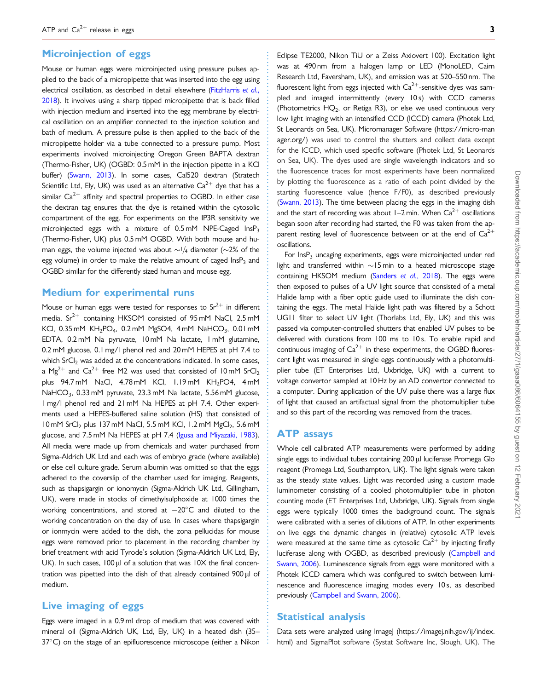#### **Microinjection of eggs**

Mouse or human eggs were microinjected using pressure pulses applied to the back of a micropipette that was inserted into the egg using electrical oscillation, as described in detail elsewhere ([FitzHarris](#page-10-0) et al., [2018\)](#page-10-0). It involves using a sharp tipped micropipette that is back filled with injection medium and inserted into the egg membrane by electrical oscillation on an amplifier connected to the injection solution and bath of medium. A pressure pulse is then applied to the back of the micropipette holder via a tube connected to a pressure pump. Most experiments involved microinjecting Oregon Green BAPTA dextran (Thermo-Fisher, UK) (OGBD: 0.5 mM in the injection pipette in a KCl buffer) ([Swann, 2013](#page-11-0)). In some cases, Cal520 dextran (Stratech Scientific Ltd, Ely, UK) was used as an alternative  $Ca^{2+}$  dye that has a similar  $Ca^{2+}$  affinity and spectral properties to OGBD. In either case the dextran tag ensures that the dye is retained within the cytosolic compartment of the egg. For experiments on the IP3R sensitivity we microinjected eggs with a mixture of 0.5 mM NPE-Caged InsP3 (Thermo-Fisher, UK) plus 0.5 mM OGBD. With both mouse and human eggs, the volume injected was about  $\sim$ <sup>1</sup>/4 diameter ( $\sim$ 2% of the egg volume) in order to make the relative amount of caged  $\text{InsP}_3$  and OGBD similar for the differently sized human and mouse egg.

#### Medium for experimental runs

Mouse or human eggs were tested for responses to  $Sr^{2+}$  in different media.  $Sr^{2+}$  containing HKSOM consisted of 95 mM NaCl, 2.5 mM KCl, 0.35 mM KH<sub>2</sub>PO<sub>4</sub>, 0.2 mM MgSO4, 4 mM NaHCO<sub>3</sub>, 0.01 mM EDTA, 0.2 mM Na pyruvate, 10 mM Na lactate, 1 mM glutamine, 0.2 mM glucose, 0.1 mg/l phenol red and 20 mM HEPES at pH 7.4 to which SrCl<sub>2</sub> was added at the concentrations indicated. In some cases, a Mg<sup>2+</sup> and Ca<sup>2+</sup> free M2 was used that consisted of 10 mM SrCl<sub>2</sub> plus 94.7 mM NaCl, 4.78 mM KCl, 1.19 mM KH<sub>2</sub>PO4, 4 mM NaHCO<sub>3</sub>, 0.33 mM pyruvate, 23.3 mM Na lactate, 5.56 mM glucose, 1 mg/l phenol red and 21 mM Na HEPES at pH 7.4. Other experiments used a HEPES-buffered saline solution (HS) that consisted of 10 mM SrCl<sub>2</sub> plus 137 mM NaCl, 5.5 mM KCl, 1.2 mM MgCl<sub>2</sub>, 5.6 mM glucose, and 7.5 mM Na HEPES at pH 7.4 ([Igusa and Miyazaki, 1983\)](#page-11-0). All media were made up from chemicals and water purchased from Sigma-Aldrich UK Ltd and each was of embryo grade (where available) or else cell culture grade. Serum albumin was omitted so that the eggs adhered to the coverslip of the chamber used for imaging. Reagents, such as thapsigargin or ionomycin (Sigma-Aldrich UK Ltd, Gillingham, UK), were made in stocks of dimethylsulphoxide at 1000 times the working concentrations, and stored at  $-20^{\circ}$ C and diluted to the working concentration on the day of use. In cases where thapsigargin or ionmycin were added to the dish, the zona pellucidas for mouse eggs were removed prior to placement in the recording chamber by brief treatment with acid Tyrode's solution (Sigma-Aldrich UK Ltd, Ely, UK). In such cases,  $100 \mu l$  of a solution that was  $10X$  the final concentration was pipetted into the dish of that already contained  $900 \mu l$  of medium.

#### Live imaging of eggs

Eggs were imaged in a 0.9 ml drop of medium that was covered with mineral oil (Sigma-Aldrich UK, Ltd, Ely, UK) in a heated dish (35–  $37^{\circ}$ C) on the stage of an epifluorescence microscope (either a Nikon

Eclipse TE2000, Nikon TiU or a Zeiss Axiovert 100). Excitation light was at 490 nm from a halogen lamp or LED (MonoLED, Cairn Research Ltd, Faversham, UK), and emission was at 520–550 nm. The fluorescent light from eggs injected with  $Ca^{2+}$ -sensitive dyes was sampled and imaged intermittently (every 10 s) with CCD cameras (Photometrics  $HQ_2$ , or Retiga R3), or else we used continuous very low light imaging with an intensified CCD (ICCD) camera (Photek Ltd, St Leonards on Sea, UK). Micromanager Software [\(https://micro-man](https://micro-manager.org/) [ager.org/](https://micro-manager.org/)) was used to control the shutters and collect data except for the ICCD, which used specific software (Photek Ltd, St Leonards on Sea, UK). The dyes used are single wavelength indicators and so the fluorescence traces for most experiments have been normalized by plotting the fluorescence as a ratio of each point divided by the starting fluorescence value (hence F/F0), as described previously [\(Swann, 2013\)](#page-11-0). The time between placing the eggs in the imaging dish and the start of recording was about  $1-2$  min. When  $Ca^{2+}$  oscillations began soon after recording had started, the F0 was taken from the apparent resting level of fluorescence between or at the end of  $Ca^{2+}$ oscillations.

For InsP<sub>3</sub> uncaging experiments, eggs were microinjected under red light and transferred within  $\sim$  15 min to a heated microscope stage containing HKSOM medium [\(Sanders](#page-11-0) et al., 2018). The eggs were then exposed to pulses of a UV light source that consisted of a metal Halide lamp with a fiber optic guide used to illuminate the dish containing the eggs. The metal Halide light path was filtered by a Schott UG11 filter to select UV light (Thorlabs Ltd, Ely, UK) and this was passed via computer-controlled shutters that enabled UV pulses to be delivered with durations from 100 ms to 10 s. To enable rapid and continuous imaging of  $Ca^{2+}$  in these experiments, the OGBD fluorescent light was measured in single eggs continuously with a photomultiplier tube (ET Enterprises Ltd, Uxbridge, UK) with a current to voltage convertor sampled at 10 Hz by an AD convertor connected to a computer. During application of the UV pulse there was a large flux of light that caused an artifactual signal from the photomultiplier tube and so this part of the recording was removed from the traces.

#### ATP assays

Whole cell calibrated ATP measurements were performed by adding single eggs to individual tubes containing 200 µl luciferase Promega Glo reagent (Promega Ltd, Southampton, UK). The light signals were taken as the steady state values. Light was recorded using a custom made luminometer consisting of a cooled photomultiplier tube in photon counting mode (ET Enterprises Ltd, Uxbridge, UK). Signals from single eggs were typically 1000 times the background count. The signals were calibrated with a series of dilutions of ATP. In other experiments on live eggs the dynamic changes in (relative) cytosolic ATP levels were measured at the same time as cytosolic  $Ca^{2+}$  by injecting firefly luciferase along with OGBD, as described previously ([Campbell and](#page-10-0) [Swann, 2006\)](#page-10-0). Luminescence signals from eggs were monitored with a Photek ICCD camera which was configured to switch between luminescence and fluorescence imaging modes every 10 s, as described previously [\(Campbell and Swann, 2006](#page-10-0)).

#### Statistical analysis

. . . . . . . . . . . . . . . . . . . . . . . . . . . . . . . . . . . . . . . . . . . . . . . . . . . . . . . . . . . . . . . . . . . . . . . . . . . . . . . . . . . . . . . . . . . . . . . . . . . . . . . . . . . . . . . . . . . . . . . . . . . . . . . . . . . . . . . . . . . . . . . . . . . . . . . . . . . . . . . . . . . . . . . . . . .

Data sets were analyzed using ImageJ [\(https://imagej.nih.gov/ij/index.](https://imagej.nih.gov/ij/index.html) [html](https://imagej.nih.gov/ij/index.html)) and SigmaPlot software (Systat Software Inc, Slough, UK). The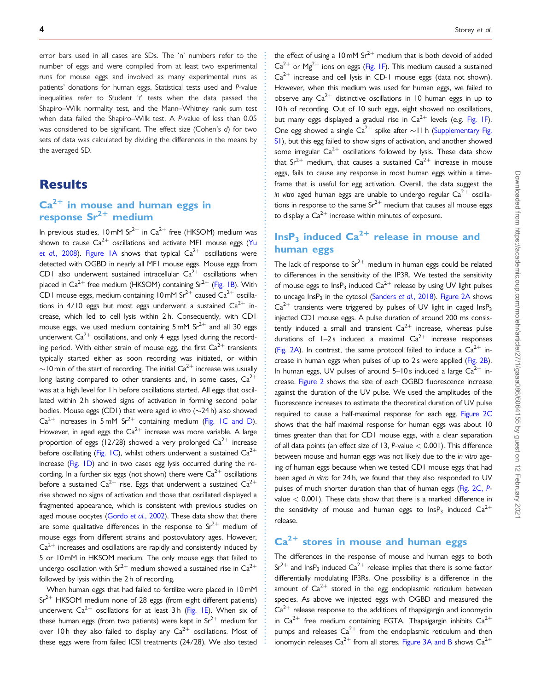. error bars used in all cases are SDs. The 'n' numbers refer to the number of eggs and were compiled from at least two experimental runs for mouse eggs and involved as many experimental runs as patients' donations for human eggs. Statistical tests used and P-value inequalities refer to Student 't' tests when the data passed the Shapiro–Wilk normality test, and the Mann–Whitney rank sum test when data failed the Shapiro–Wilk test. A P-value of less than 0.05 was considered to be significant. The effect size (Cohen's d) for two sets of data was calculated by dividing the differences in the means by the averaged SD.

### **Results**

## $Ca<sup>2+</sup>$  in mouse and human eggs in response  $Sr^{2+}$  medium

In previous studies, 10 mM  $Sr^{2+}$  in Ca<sup>2+</sup> free (HKSOM) medium was shown to cause  $Ca^{2+}$  oscillations and activate MF1 mouse eggs ([Yu](#page-11-0) et al.[, 2008](#page-11-0)). [Figure 1A](#page-4-0) shows that typical  $Ca^{2+}$  oscillations were detected with OGBD in nearly all MF1 mouse eggs. Mouse eggs from CD1 also underwent sustained intracellular  $Ca^{2+}$  oscillations when placed in  $Ca^{2+}$  free medium (HKSOM) containing  $Sr^{2+}$  [\(Fig. 1B\)](#page-4-0). With CD1 mouse eggs, medium containing 10 mM  $Sr^{2+}$  caused  $Ca^{2+}$  oscillations in 4/10 eggs but most eggs underwent a sustained  $Ca^{2+}$  increase, which led to cell lysis within 2 h. Consequently, with CD1 mouse eggs, we used medium containing  $5 \text{ mM } Sr^{2+}$  and all 30 eggs underwent  $Ca^{2+}$  oscillations, and only 4 eggs lysed during the recording period. With either strain of mouse egg, the first  $Ca^{2+}$  transients typically started either as soon recording was initiated, or within  $\sim$ 10 min of the start of recording. The initial Ca<sup>2+</sup> increase was usually long lasting compared to other transients and, in some cases,  $Ca^{2+}$ was at a high level for 1 h before oscillations started. All eggs that oscillated within 2h showed signs of activation in forming second polar bodies. Mouse eggs (CD1) that were aged in vitro ( $\sim$ 24 h) also showed  $Ca^{2+}$  increases in 5 mM Sr<sup>2+</sup> containing medium ([Fig. 1C and D\)](#page-4-0). However, in aged eggs the  $Ca^{2+}$  increase was more variable. A large proportion of eggs (12/28) showed a very prolonged  $Ca^{2+}$  increase before oscillating [\(Fig. 1C](#page-4-0)), whilst others underwent a sustained  $Ca^{2+}$ increase ([Fig. 1D\)](#page-4-0) and in two cases egg lysis occurred during the recording. In a further six eggs (not shown) there were  $Ca^{2+}$  oscillations before a sustained  $Ca^{2+}$  rise. Eggs that underwent a sustained  $Ca^{2+}$ rise showed no signs of activation and those that oscillated displayed a fragmented appearance, which is consistent with previous studies on aged mouse oocytes [\(Gordo](#page-10-0) et al., 2002). These data show that there are some qualitative differences in the response to  $Sr^{2+}$  medium of mouse eggs from different strains and postovulatory ages. However,  $Ca<sup>2+</sup>$  increases and oscillations are rapidly and consistently induced by 5 or 10 mM in HKSOM medium. The only mouse eggs that failed to undergo oscillation with Sr<sup>2+</sup> medium showed a sustained rise in Ca<sup>2+</sup> followed by lysis within the 2 h of recording.

When human eggs that had failed to fertilize were placed in 10 mM  $Sr^{2+}$  HKSOM medium none of 28 eggs (from eight different patients) underwent  $Ca^{2+}$  oscillations for at least 3 h [\(Fig. 1E\)](#page-4-0). When six of these human eggs (from two patients) were kept in  $Sr^{2+}$  medium for over 10 h they also failed to display any  $Ca^{2+}$  oscillations. Most of these eggs were from failed ICSI treatments (24/28). We also tested

. . . . . . . . . . . . . . . . . . . . . . . . . . . . . . . . . . . . . . . . . . . . . . . . . . . . . . . . . . . . . . . . . . . . . . . . . . . . . . . . . . . . . . . . . . . . . . . . . . . . . . . . . . . . . . . . . . . . . . . . . . . . . . . . . . . . . . . . . . . . . . . . . . . . . . . . . . . . . . . . . . . . . . . . . . . . the effect of using a 10 mM  $Sr^{2+}$  medium that is both devoid of added  $Ca^{2+}$  or Mg<sup>2+</sup> ions on eggs ([Fig. 1F](#page-4-0)). This medium caused a sustained  $Ca^{2+}$  increase and cell lysis in CD-1 mouse eggs (data not shown). However, when this medium was used for human eggs, we failed to observe any  $Ca^{2+}$  distinctive oscillations in 10 human eggs in up to 10 h of recording. Out of 10 such eggs, eight showed no oscillations, but many eggs displayed a gradual rise in  $Ca^{2+}$  levels (e.g. [Fig. 1F](#page-4-0)). One egg showed a single  $Ca^{2+}$  spike after  $\sim$  11 h [\(Supplementary Fig.](https://academic.oup.com/molehr/article-lookup/doi/10.1093/molehr/gaaa086#supplementary-data) [S1\)](https://academic.oup.com/molehr/article-lookup/doi/10.1093/molehr/gaaa086#supplementary-data), but this egg failed to show signs of activation, and another showed some irregular  $Ca^{2+}$  oscillations followed by lysis. These data show that  $Sr^{2+}$  medium, that causes a sustained  $Ca^{2+}$  increase in mouse eggs, fails to cause any response in most human eggs within a timeframe that is useful for egg activation. Overall, the data suggest the in vitro aged human eggs are unable to undergo regular  $Ca^{2+}$  oscillations in response to the same  $Sr^{2+}$  medium that causes all mouse eggs to display a  $Ca^{2+}$  increase within minutes of exposure.

## $InsP<sub>3</sub> induced Ca<sup>2+</sup> release in mouse and$ human eggs

The lack of response to  $Sr^{2+}$  medium in human eggs could be related to differences in the sensitivity of the IP3R. We tested the sensitivity of mouse eggs to  $InsP<sub>3</sub>$  induced  $Ca<sup>2+</sup>$  release by using UV light pulses to uncage  $\text{InsP}_3$  in the cytosol ([Sanders](#page-11-0) et al., 2018). [Figure 2A](#page-5-0) shows  $Ca^{2+}$  transients were triggered by pulses of UV light in caged InsP<sub>3</sub> injected CD1 mouse eggs. A pulse duration of around 200 ms consistently induced a small and transient  $Ca^{2+}$  increase, whereas pulse durations of  $I-2s$  induced a maximal  $Ca^{2+}$  increase responses [\(Fig. 2A\)](#page-5-0). In contrast, the same protocol failed to induce a  $Ca^{2+}$  in-crease in human eggs when pulses of up to 2s were applied ([Fig. 2B](#page-5-0)). In human eggs, UV pulses of around 5–10s induced a large  $Ca^{2+}$  increase. [Figure 2](#page-5-0) shows the size of each OGBD fluorescence increase against the duration of the UV pulse. We used the amplitudes of the fluorescence increases to estimate the theoretical duration of UV pulse required to cause a half-maximal response for each egg. [Figure 2C](#page-5-0) shows that the half maximal response for human eggs was about 10 times greater than that for CD1 mouse eggs, with a clear separation of all data points (an effect size of 13, P-value < 0.001). This difference between mouse and human eggs was not likely due to the in vitro ageing of human eggs because when we tested CD1 mouse eggs that had been aged in vitro for 24 h, we found that they also responded to UV pulses of much shorter duration than that of human eggs ([Fig. 2C,](#page-5-0) Pvalue  $<$  0.001). These data show that there is a marked difference in the sensitivity of mouse and human eggs to  $\text{InsP}_3$  induced  $\text{Ca}^{2+}$ release.

# $Ca<sup>2+</sup>$  stores in mouse and human eggs

The differences in the response of mouse and human eggs to both  $Sr^{2+}$  and InsP<sub>3</sub> induced  $Ca^{2+}$  release implies that there is some factor differentially modulating IP3Rs. One possibility is a difference in the amount of  $Ca^{2+}$  stored in the egg endoplasmic reticulum between species. As above we injected eggs with OGBD and measured the  $Ca^{2+}$  release response to the additions of thapsigargin and ionomycin in Ca<sup>2+</sup> free medium containing EGTA. Thapsigargin inhibits Ca<sup>2+</sup> pumps and releases  $Ca^{2+}$  from the endoplasmic reticulum and then ionomycin releases  $Ca^{2+}$  from all stores. [Figure 3A and B](#page-6-0) shows  $Ca^{2+}$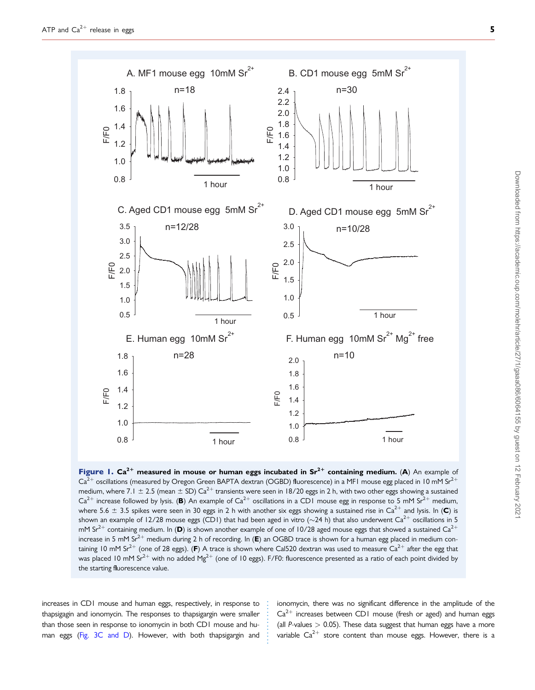<span id="page-4-0"></span>

Figure 1.  $Ca^{2+}$  measured in mouse or human eggs incubated in  $Sr^{2+}$  containing medium. (A) An example of  $Ca^{2+}$  oscillations (measured by Oregon Green BAPTA dextran (OGBD) fluorescence) in a MF1 mouse egg placed in 10 mM Sr<sup>2+</sup> medium, where 7.1  $\pm$  2.5 (mean  $\pm$  SD) Ca<sup>2+</sup> transients were seen in 18/20 eggs in 2 h, with two other eggs showing a sustained  $Ca^{2+}$  increase followed by lysis. (B) An example of  $Ca^{2+}$  oscillations in a CD1 mouse egg in response to 5 mM Sr<sup>2+</sup> medium, where 5.6  $\pm$  3.5 spikes were seen in 30 eggs in 2 h with another six eggs showing a sustained rise in Ca<sup>2+</sup> and lysis. In (C) is shown an example of 12/28 mouse eggs (CD1) that had been aged in vitro ( $\sim$ 24 h) that also underwent Ca<sup>2+</sup> oscillations in 5 mM Sr<sup>2+</sup> containing medium. In (D) is shown another example of one of 10/28 aged mouse eggs that showed a sustained Ca<sup>2+</sup> increase in 5 mM Sr<sup>2+</sup> medium during 2 h of recording. In (E) an OGBD trace is shown for a human egg placed in medium containing 10 mM Sr<sup>2+</sup> (one of 28 eggs). (F) A trace is shown where Cal520 dextran was used to measure Ca<sup>2+</sup> after the egg that was placed 10 mM Sr<sup>2+</sup> with no added Mg<sup>2+</sup> (one of 10 eggs). F/F0: fluorescence presented as a ratio of each point divided by the starting fluorescence value.

. . . . . . . . . . . .

. increases in CD1 mouse and human eggs, respectively, in response to thapsigagin and ionomycin. The responses to thapsigargin were smaller than those seen in response to ionomycin in both CD1 mouse and human eggs [\(Fig. 3C and D\)](#page-6-0). However, with both thapsigargin and ionomycin, there was no significant difference in the amplitude of the  $Ca^{2+}$  increases between CD1 mouse (fresh or aged) and human eggs (all P-values  $> 0.05$ ). These data suggest that human eggs have a more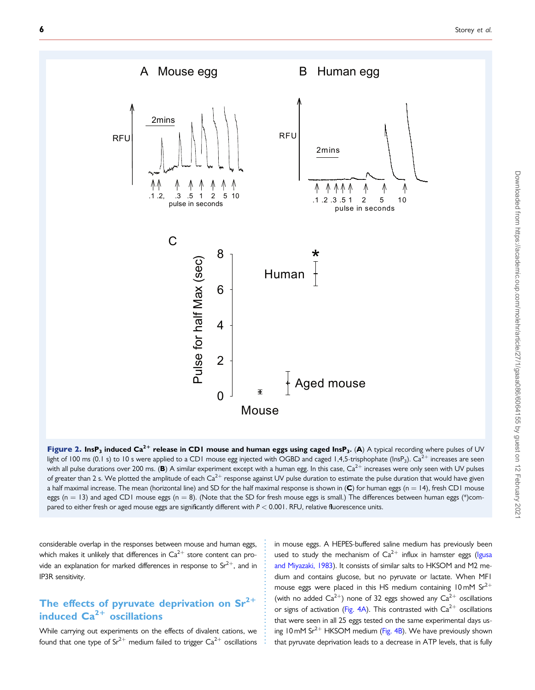<span id="page-5-0"></span>

Downloaded from https://academic.oup.com/molehr/article/27/1/gaaa086/6064155 by guest on 12 February 202 Downloaded from https://academic.oup.com/molehr/article/27/1/gaaa086/6064155 by guest on 12 February 2021

Figure 2. InsP<sub>3</sub> induced Ca<sup>2+</sup> release in CD1 mouse and human eggs using caged InsP<sub>3</sub>. (A) A typical recording where pulses of UV light of 100 ms (0.1 s) to 10 s were applied to a CD1 mouse egg injected with OGBD and caged 1,4,5-trisphophate (InsP<sub>3</sub>). Ca<sup>2+</sup> increases are seen with all pulse durations over 200 ms. (B) A similar experiment except with a human egg. In this case,  $Ca^{2+}$  increases were only seen with UV pulses of greater than 2 s. We plotted the amplitude of each  $Ca^{2+}$  response against UV pulse duration to estimate the pulse duration that would have given a half maximal increase. The mean (horizontal line) and SD for the half maximal response is shown in  $(C)$  for human eggs (n = 14), fresh CD1 mouse eggs (n = 13) and aged CD1 mouse eggs (n = 8). (Note that the SD for fresh mouse eggs is small.) The differences between human eggs (\*)compared to either fresh or aged mouse eggs are significantly different with  $P < 0.001$ . RFU, relative fluorescence units.

. . . . . . . . . . . . . . . . . . . . . . . . . . . . . .

. considerable overlap in the responses between mouse and human eggs, which makes it unlikely that differences in  $Ca^{2+}$  store content can provide an explanation for marked differences in response to  $Sr^{2+}$ , and in IP3R sensitivity.

#### The effects of pyruvate deprivation on  $Sr^{2+}$ induced  $Ca^{2+}$  oscillations

While carrying out experiments on the effects of divalent cations, we found that one type of  $Sr^{2+}$  medium failed to trigger  $Ca^{2+}$  oscillations in mouse eggs. A HEPES-buffered saline medium has previously been used to study the mechanism of  $Ca^{2+}$  influx in hamster eggs ([Igusa](#page-11-0) [and Miyazaki, 1983](#page-11-0)). It consists of similar salts to HKSOM and M2 medium and contains glucose, but no pyruvate or lactate. When MF1 mouse eggs were placed in this HS medium containing 10 mM  $Sr^{2+}$ (with no added  $Ca^{2+}$ ) none of 32 eggs showed any  $Ca^{2+}$  oscillations or signs of activation ([Fig. 4A\)](#page-7-0). This contrasted with  $Ca^{2+}$  oscillations that were seen in all 25 eggs tested on the same experimental days us-ing 10 mM Sr<sup>2+</sup> HKSOM medium ([Fig. 4B\)](#page-7-0). We have previously shown that pyruvate deprivation leads to a decrease in ATP levels, that is fully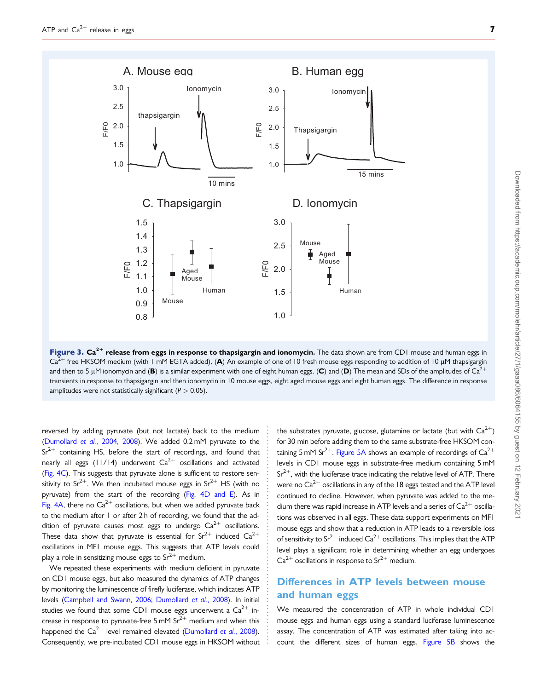<span id="page-6-0"></span>

Figure 3.  $Ca^{2+}$  release from eggs in response to thapsigargin and ionomycin. The data shown are from CD1 mouse and human eggs in  $Ca^{2+}$  free HKSOM medium (with 1 mM EGTA added). (A) An example of one of 10 fresh mouse eggs responding to addition of 10 µM thapsigargin and then to 5 µM ionomycin and (B) is a similar experiment with one of eight human eggs. (C) and (D) The mean and SDs of the amplitudes of Ca<sup>2+</sup> transients in response to thapsigargin and then ionomycin in 10 mouse eggs, eight aged mouse eggs and eight human eggs. The difference in response amplitudes were not statistically significant ( $P > 0.05$ ).

. . . . . . . . . . . . . . . . . . . . . . . . . . . . . . . . . . . . . . . . . . . . . . . . . . . . . . . . . . . . . . .

. reversed by adding pyruvate (but not lactate) back to the medium ([Dumollard](#page-10-0) et al., 2004, [2008\)](#page-10-0). We added 0.2 mM pyruvate to the  $Sr^{2+}$  containing HS, before the start of recordings, and found that nearly all eggs (11/14) underwent  $Ca^{2+}$  oscillations and activated ([Fig. 4C\)](#page-7-0). This suggests that pyruvate alone is sufficient to restore sensitivity to  $Sr^{2+}$ . We then incubated mouse eggs in  $Sr^{2+}$  HS (with no pyruvate) from the start of the recording [\(Fig. 4D and E](#page-7-0)). As in [Fig. 4A](#page-7-0), there no  $Ca^{2+}$  oscillations, but when we added pyruvate back to the medium after 1 or after 2 h of recording, we found that the addition of pyruvate causes most eggs to undergo  $Ca^{2+}$  oscillations. These data show that pyruvate is essential for  $Sr^{2+}$  induced  $Ca^{2+}$ oscillations in MF1 mouse eggs. This suggests that ATP levels could play a role in sensitizing mouse eggs to  $Sr^{2+}$  medium.

We repeated these experiments with medium deficient in pyruvate on CD1 mouse eggs, but also measured the dynamics of ATP changes by monitoring the luminescence of firefly luciferase, which indicates ATP levels [\(Campbell and Swann, 2006;](#page-10-0) [Dumollard](#page-10-0) et al., 2008). In initial studies we found that some CD1 mouse eggs underwent a  $Ca^{2+}$  increase in response to pyruvate-free 5 mM  $Sr^{2+}$  medium and when this happened the  $Ca^{2+}$  level remained elevated ([Dumollard](#page-10-0) et al., 2008). Consequently, we pre-incubated CD1 mouse eggs in HKSOM without

the substrates pyruvate, glucose, glutamine or lactate (but with  $Ca^{2+}$ ) for 30 min before adding them to the same substrate-free HKSOM con-taining 5 mM Sr<sup>2+</sup>. [Figure 5A](#page-8-0) shows an example of recordings of  $Ca^{2+}$ levels in CD1 mouse eggs in substrate-free medium containing 5 mM  $Sr^{2+}$ , with the luciferase trace indicating the relative level of ATP. There were no  $Ca^{2+}$  oscillations in any of the 18 eggs tested and the ATP level continued to decline. However, when pyruvate was added to the medium there was rapid increase in ATP levels and a series of  $Ca^{2+}$  oscillations was observed in all eggs. These data support experiments on MF1 mouse eggs and show that a reduction in ATP leads to a reversible loss of sensitivity to  $Sr^{2+}$  induced  $Ca^{2+}$  oscillations. This implies that the ATP level plays a significant role in determining whether an egg undergoes  $Ca^{2+}$  oscillations in response to  $Sr^{2+}$  medium.

#### Differences in ATP levels between mouse and human eggs

We measured the concentration of ATP in whole individual CD1 mouse eggs and human eggs using a standard luciferase luminescence assay. The concentration of ATP was estimated after taking into account the different sizes of human eggs. [Figure 5B](#page-8-0) shows the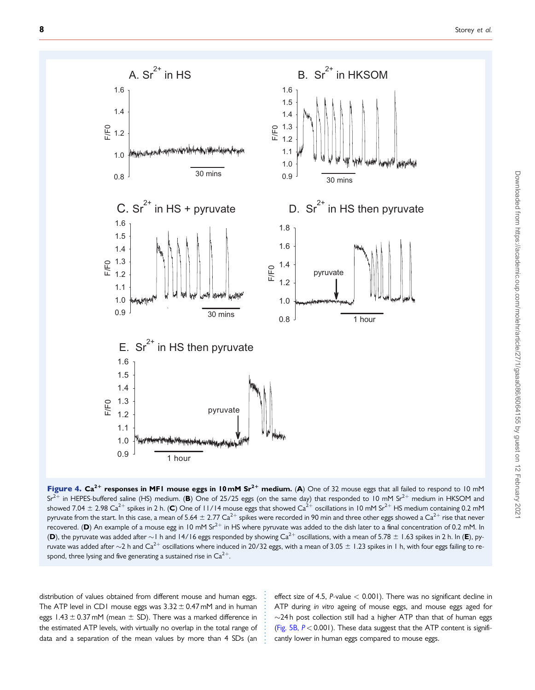<span id="page-7-0"></span>

Figure 4.  $Ca^{2+}$  responses in MFI mouse eggs in 10 mM  $Sr^{2+}$  medium. (A) One of 32 mouse eggs that all failed to respond to 10 mM  $Sr^{2+}$  in HEPES-buffered saline (HS) medium. (B) One of 25/25 eggs (on the same day) that responded to 10 mM Sr<sup>2+</sup> medium in HKSOM and showed 7.04  $\pm$  2.98 Ca<sup>2+</sup> spikes in 2 h. (C) One of 11/14 mouse eggs that showed Ca<sup>2+</sup> oscillations in 10 mM Sr<sup>2+</sup> HS medium containing 0.2 mM pyruvate from the start. In this case, a mean of 5.64  $\pm$  2.77 Ca<sup>2+</sup> spikes were recorded in 90 min and three other eggs showed a Ca<sup>2+</sup> rise that never recovered. (D) An example of a mouse egg in 10 mM Sr<sup>2+</sup> in HS where pyruvate was added to the dish later to a final concentration of 0.2 mM. In (D), the pyruvate was added after  $\sim$  1 h and 14/16 eggs responded by showing Ca<sup>2+</sup> oscillations, with a mean of 5.78  $\pm$  1.63 spikes in 2 h. In (E), pyruvate was added after  $\sim$ 2 h and Ca<sup>2+</sup> oscillations where induced in 20/32 eggs, with a mean of 3.05  $\pm$  1.23 spikes in 1 h, with four eggs failing to respond, three lysing and five generating a sustained rise in  $Ca^{2+}$ .

. . . . . . . . . . . . . . .

distribution of values obtained from different mouse and human eggs. The ATP level in CD1 mouse eggs was  $3.32 \pm 0.47$  mM and in human eggs  $1.43 \pm 0.37$  mM (mean  $\pm$  SD). There was a marked difference in the estimated ATP levels, with virtually no overlap in the total range of data and a separation of the mean values by more than 4 SDs (an

effect size of 4.5, P-value < 0.001). There was no significant decline in ATP during in vitro ageing of mouse eggs, and mouse eggs aged for  $\sim$ 24 h post collection still had a higher ATP than that of human eggs [\(Fig. 5B,](#page-8-0)  $P < 0.001$ ). These data suggest that the ATP content is significantly lower in human eggs compared to mouse eggs.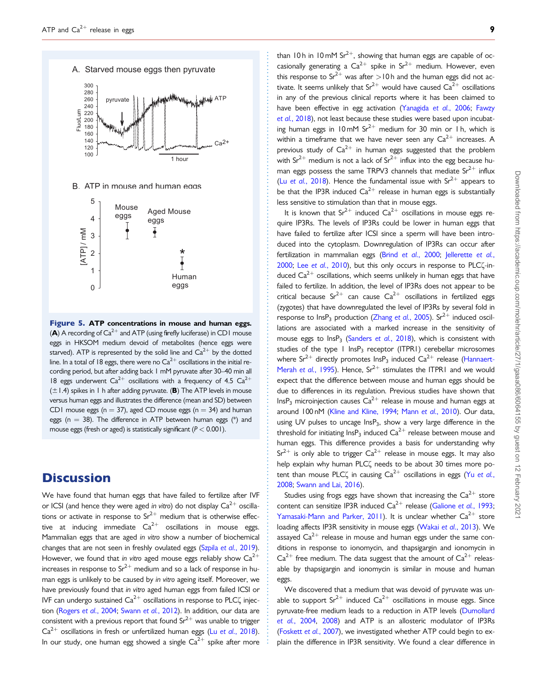<span id="page-8-0"></span>

Figure 5. ATP concentrations in mouse and human eggs. (A) A recording of  $Ca^{2+}$  and ATP (using firefly luciferase) in CD1 mouse eggs in HKSOM medium devoid of metabolites (hence eggs were starved). ATP is represented by the solid line and  $Ca^{2+}$  by the dotted line. In a total of 18 eggs, there were no  $Ca^{2+}$  oscillations in the initial recording period, but after adding back 1 mM pyruvate after 30–40 min all 18 eggs underwent  $Ca^{2+}$  oscillations with a frequency of 4.5  $Ca^{2+}$  $(\pm 1.4)$  spikes in 1 h after adding pyruvate. (B) The ATP levels in mouse versus human eggs and illustrates the difference (mean and SD) between CD1 mouse eggs ( $n = 37$ ), aged CD mouse eggs ( $n = 34$ ) and human eggs ( $n = 38$ ). The difference in ATP between human eggs (\*) and mouse eggs (fresh or aged) is statistically significant ( $P < 0.001$ ).

# **Discussion**

We have found that human eggs that have failed to fertilize after IVF or ICSI (and hence they were aged in vitro) do not display  $Ca^{2+}$  oscillations or activate in response to  $Sr^{2+}$  medium that is otherwise effective at inducing immediate  $Ca^{2+}$  oscillations in mouse eggs. Mammalian eggs that are aged in vitro show a number of biochemical changes that are not seen in freshly ovulated eggs (Szpila et al.[, 2019\)](#page-11-0). However, we found that in vitro aged mouse eggs reliably show  $Ca^{2+}$ increases in response to  $Sr^{2+}$  medium and so a lack of response in human eggs is unlikely to be caused by in vitro ageing itself. Moreover, we have previously found that in vitro aged human eggs from failed ICSI or IVF can undergo sustained  $Ca^{2+}$  oscillations in response to PLC $\zeta$  injection [\(Rogers](#page-11-0) et al., 2004; Swann et al.[, 2012\)](#page-11-0). In addition, our data are consistent with a previous report that found  $Sr^{2+}$  was unable to trigger  $Ca^{2+}$  oscillations in fresh or unfertilized human eggs (Lu et al.[, 2018\)](#page-11-0). In our study, one human egg showed a single  $Ca^{2+}$  spike after more

than 10 h in 10 mM S $r^{2+}$ , showing that human eggs are capable of occasionally generating a  $Ca^{2+}$  spike in Sr<sup>2+</sup> medium. However, even this response to  $Sr^{2+}$  was after  $>10$  h and the human eggs did not activate. It seems unlikely that  $Sr^{2+}$  would have caused  $Ca^{2+}$  oscillations in any of the previous clinical reports where it has been claimed to have been effective in egg activation ([Yanagida](#page-11-0) et al., 2006; [Fawzy](#page-10-0) et al.[, 2018](#page-10-0)), not least because these studies were based upon incubating human eggs in 10 mM  $Sr^{2+}$  medium for 30 min or 1 h, which is within a timeframe that we have never seen any  $Ca^{2+}$  increases. A previous study of  $Ca^{2+}$  in human eggs suggested that the problem with  $Sr^{2+}$  medium is not a lack of  $Sr^{2+}$  influx into the egg because human eggs possess the same TRPV3 channels that mediate  $Sr^{2+}$  influx (Lu et al.[, 2018\)](#page-11-0). Hence the fundamental issue with  $Sr^{2+}$  appears to be that the IP3R induced  $Ca^{2+}$  release in human eggs is substantially less sensitive to stimulation than that in mouse eggs.

It is known that  $Sr^{2+}$  induced  $Ca^{2+}$  oscillations in mouse eggs require IP3Rs. The levels of IP3Rs could be lower in human eggs that have failed to fertilize after ICSI since a sperm will have been introduced into the cytoplasm. Downregulation of IP3Rs can occur after fertilization in mammalian eggs (Brind et al.[, 2000;](#page-10-0) [Jellerette](#page-11-0) et al., [2000](#page-11-0); Lee et al.[, 2010\)](#page-11-0), but this only occurs in response to PLC $\zeta$ -induced  $Ca^{2+}$  oscillations, which seems unlikely in human eggs that have failed to fertilize. In addition, the level of IP3Rs does not appear to be critical because  $Sr^{2+}$  can cause  $Ca^{2+}$  oscillations in fertilized eggs (zygotes) that have downregulated the level of IP3Rs by several fold in response to  $\text{InsP}_3$  production (Zhang et al.[, 2005](#page-11-0)). Sr<sup>2+</sup> induced oscillations are associated with a marked increase in the sensitivity of mouse eggs to  $InsP<sub>3</sub>$  ([Sanders](#page-11-0) et al., 2018), which is consistent with studies of the type  $1$  lns $P_3$  receptor (ITPR1) cerebellar microsomes where  $Sr^{2+}$  directly promotes  $InsP_3$  induced  $Ca^{2+}$  release [\(Hannaert-](#page-10-0)[Merah](#page-10-0) et al., 1995). Hence,  $Sr^{2+}$  stimulates the ITPR1 and we would expect that the difference between mouse and human eggs should be due to differences in its regulation. Previous studies have shown that  $InsP_3$  microinjection causes  $Ca^{2+}$  release in mouse and human eggs at around 100 nM ([Kline and Kline, 1994;](#page-11-0) Mann et al.[, 2010\)](#page-11-0). Our data, using UV pulses to uncage  $InsP_3$ , show a very large difference in the threshold for initiating  $\text{InsP}_3$  induced  $\text{Ca}^{2+}$  release between mouse and human eggs. This difference provides a basis for understanding why  $Sr^{2+}$  is only able to trigger  $Ca^{2+}$  release in mouse eggs. It may also help explain why human PLC( needs to be about 30 times more potent than mouse PLC $\zeta$  in causing  $Ca^{2+}$  oscillations in eggs (Yu [et al.](#page-11-0), [2008](#page-11-0); [Swann and Lai, 2016\)](#page-11-0).

Studies using frogs eggs have shown that increasing the  $Ca^{2+}$  store content can sensitize IP3R induced  $Ca^{2+}$  release [\(Galione](#page-10-0) et al., 1993; [Yamasaki-Mann and Parker, 2011\)](#page-11-0). It is unclear whether  $Ca^{2+}$  store loading affects IP3R sensitivity in mouse eggs [\(Wakai](#page-11-0) et al., 2013). We assayed  $Ca^{2+}$  release in mouse and human eggs under the same conditions in response to ionomycin, and thapsigargin and ionomycin in  $Ca^{2+}$  free medium. The data suggest that the amount of  $Ca^{2+}$  releasable by thapsigargin and ionomycin is similar in mouse and human eggs.

We discovered that a medium that was devoid of pyruvate was unable to support  $Sr^{2+}$  induced  $Ca^{2+}$  oscillations in mouse eggs. Since pyruvate-free medium leads to a reduction in ATP levels [\(Dumollard](#page-10-0) et al.[, 2004,](#page-10-0) [2008\)](#page-10-0) and ATP is an allosteric modulator of IP3Rs [\(Foskett](#page-10-0) et al., 2007), we investigated whether ATP could begin to explain the difference in IP3R sensitivity. We found a clear difference in

. . . . . . . . . . . . . . . . . . . . . . . . . . . . . . . . . . . . . . . . . . . . . . . . . . . . . . . . . . . . . . . . . . . . . . . . . . . . . . . . . . . . . . . . . . . . . . . . . . . . . . . . . . . . . . . . . . . . . . . . . . . . . . . . . . . . . . . . . . . . . . . . . . . . . . . . . . . . . . . . . . . . . . . . . . . . .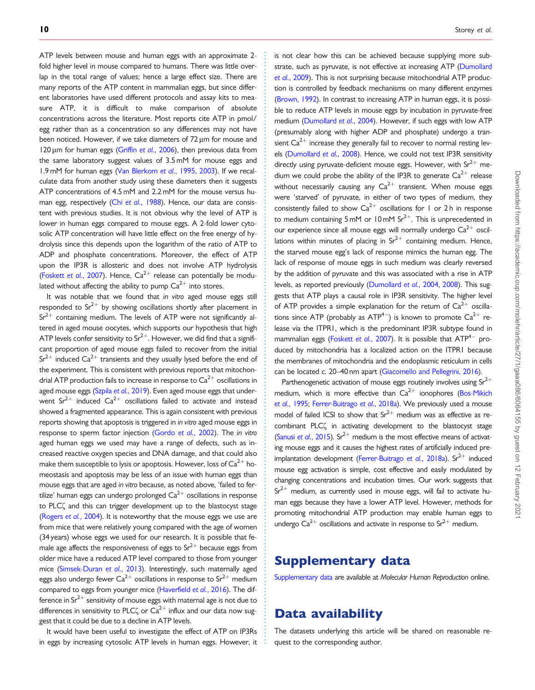. ATP levels between mouse and human eggs with an approximate 2 fold higher level in mouse compared to humans. There was little overlap in the total range of values; hence a large effect size. There are many reports of the ATP content in mammalian eggs, but since different laboratories have used different protocols and assay kits to measure ATP, it is difficult to make comparison of absolute concentrations across the literature. Most reports cite ATP in pmol/ egg rather than as a concentration so any differences may not have been noticed. However, if we take diameters of  $72 \,\mu m$  for mouse and 120  $\mu$ m for human eggs (Griffin et al.[, 2006\)](#page-10-0), then previous data from the same laboratory suggest values of 3.5 mM for mouse eggs and 1.9 mM for human eggs ([Van Blerkom](#page-11-0) et al., 1995, [2003](#page-11-0)). If we recalculate data from another study using these diameters then it suggests ATP concentrations of 4.5 mM and 2.2 mM for the mouse versus hu-man egg, respectively (Chi et al.[, 1988\)](#page-10-0). Hence, our data are consistent with previous studies. It is not obvious why the level of ATP is lower in human eggs compared to mouse eggs. A 2-fold lower cytosolic ATP concentration will have little effect on the free energy of hydrolysis since this depends upon the logarithm of the ratio of ATP to ADP and phosphate concentrations. Moreover, the effect of ATP upon the IP3R is allosteric and does not involve ATP hydrolysis ([Foskett](#page-10-0) et al., 2007). Hence,  $Ca^{2+}$  release can potentially be modulated without affecting the ability to pump  $Ca^{2+}$  into stores.

It was notable that we found that in vitro aged mouse eggs still responded to  $Sr^{2+}$  by showing oscillations shortly after placement in  $Sr^{2+}$  containing medium. The levels of ATP were not significantly altered in aged mouse oocytes, which supports our hypothesis that high ATP levels confer sensitivity to  $Sr^{2+}$ . However, we did find that a significant proportion of aged mouse eggs failed to recover from the initial  $Sr^{2+}$  induced  $Ca^{2+}$  transients and they usually lysed before the end of the experiment. This is consistent with previous reports that mitochondrial ATP production fails to increase in response to  $Ca<sup>2+</sup>$  oscillations in aged mouse eggs (Szpila et al.[, 2019](#page-11-0)). Even aged mouse eggs that underwent  $Sr^{2+}$  induced  $Ca^{2+}$  oscillations failed to activate and instead showed a fragmented appearance. This is again consistent with previous reports showing that apoptosis is triggered in in vitro aged mouse eggs in response to sperm factor injection [\(Gordo](#page-10-0) et al., 2002). The in vitro aged human eggs we used may have a range of defects, such as increased reactive oxygen species and DNA damage, and that could also make them susceptible to lysis or apoptosis. However, loss of  $Ca^{2+}$  homeostasis and apoptosis may be less of an issue with human eggs than mouse eggs that are aged in vitro because, as noted above, 'failed to fertilize' human eggs can undergo prolonged  $Ca^{2+}$  oscillations in response to PLC<sub>4</sub> and this can trigger development up to the blastocyst stage ([Rogers](#page-11-0) et al., 2004). It is noteworthy that the mouse eggs we use are from mice that were relatively young compared with the age of women (34 years) whose eggs we used for our research. It is possible that female age affects the responsiveness of eggs to  $Sr^{2+}$  because eggs from older mice have a reduced ATP level compared to those from younger mice [\(Simsek-Duran](#page-11-0) et al., 2013). Interestingly, such maternally aged eggs also undergo fewer  $Ca^{2+}$  oscillations in response to Sr<sup>2+</sup> medium compared to eggs from younger mice ([Haverfield](#page-10-0) et al., 2016). The difference in  $Sr^{2+}$  sensitivity of mouse eggs with maternal age is not due to differences in sensitivity to PLC $\zeta$  or Ca<sup>2+</sup> influx and our data now suggest that it could be due to a decline in ATP levels.

It would have been useful to investigate the effect of ATP on IP3Rs in eggs by increasing cytosolic ATP levels in human eggs. However, it is not clear how this can be achieved because supplying more sub-strate, such as pyruvate, is not effective at increasing ATP ([Dumollard](#page-10-0) et al.[, 2009\)](#page-10-0). This is not surprising because mitochondrial ATP production is controlled by feedback mechanisms on many different enzymes [\(Brown, 1992\)](#page-10-0). In contrast to increasing ATP in human eggs, it is possible to reduce ATP levels in mouse eggs by incubation in pyruvate-free medium [\(Dumollard](#page-10-0) et al., 2004). However, if such eggs with low ATP (presumably along with higher ADP and phosphate) undergo a transient  $Ca^{2+}$  increase they generally fail to recover to normal resting lev-els [\(Dumollard](#page-10-0) et al., 2008). Hence, we could not test IP3R sensitivity directly using pyruvate-deficient mouse eggs. However, with  $Sr^{2+}$  medium we could probe the ability of the IP3R to generate  $Ca^{2+}$  release without necessarily causing any  $Ca^{2+}$  transient. When mouse eggs were 'starved' of pyruvate, in either of two types of medium, they consistently failed to show  $Ca^{2+}$  oscillations for 1 or 2h in response to medium containing  $5 \text{ mM or } 10 \text{ mM } \text{Sr}^{2+}$ . This is unprecedented in our experience since all mouse eggs will normally undergo  $Ca^{2+}$  oscillations within minutes of placing in  $Sr^{2+}$  containing medium. Hence, the starved mouse egg's lack of response mimics the human egg. The lack of response of mouse eggs in such medium was clearly reversed by the addition of pyruvate and this was associated with a rise in ATP levels, as reported previously ([Dumollard](#page-10-0) et al., 2004, [2008\)](#page-10-0). This suggests that ATP plays a causal role in IP3R sensitivity. The higher level of ATP provides a simple explanation for the return of  $Ca^{2+}$  oscillations since ATP (probably as ATP<sup>4-</sup>) is known to promote  $Ca^{2+}$  release via the ITPR1, which is the predominant IP3R subtype found in mammalian eggs ([Foskett](#page-10-0) et al., 2007). It is possible that  $ATP^{4-}$  produced by mitochondria has a localized action on the ITPR1 because the membranes of mitochondria and the endoplasmic reticulum in cells can be located c. 20–40 nm apart ([Giacomello and Pellegrini, 2016](#page-10-0)).

Parthenogenetic activation of mouse eggs routinely involves using  $Sr^{2+}$ medium, which is more effective than  $Ca^{2+}$  ionophores [\(Bos-Mikich](#page-10-0) et al.[, 1995](#page-10-0); [Ferrer-Buitrago](#page-10-0) et al., 2018a). We previously used a mouse model of failed ICSI to show that  $Sr^{2+}$  medium was as effective as recombinant PLC<sup>'</sup> in activating development to the blastocyst stage (Sanusi et al.[, 2015\)](#page-11-0).  $Sr^{2+}$  medium is the most effective means of activating mouse eggs and it causes the highest rates of artificially induced pre-implantation development ([Ferrer-Buitrago](#page-10-0) et al., 2018a). Sr $^{2+}$  induced mouse egg activation is simple, cost effective and easily modulated by changing concentrations and incubation times. Our work suggests that  $Sr^{2+}$  medium, as currently used in mouse eggs, will fail to activate human eggs because they have a lower ATP level. However, methods for promoting mitochondrial ATP production may enable human eggs to undergo  $Ca^{2+}$  oscillations and activate in response to  $Sr^{2+}$  medium.

### Supplementary data

[Supplementary data](https://academic.oup.com/molehr/article-lookup/doi/10.1093/molehr/gaaa086#supplementary-data) are available at Molecular Human Reproduction online.

# Data availability

. . . . . . . . . . . . . . . . . . . . . . . . . . . . . . . . . . . . . . . . . . . . . . . . . . . . . . . . . . . . . . . . . . . . . . . . . . . . . . . . . . . . . . . . . . . . . . . . . . . . . . . . . . . . . . . . . . . . . . . . . . . . . . . . . . . . . . . . . . . . . . . . . . . . . . . . . . . . . . . . . . . . . . . . . . . .

The datasets underlying this article will be shared on reasonable request to the corresponding author.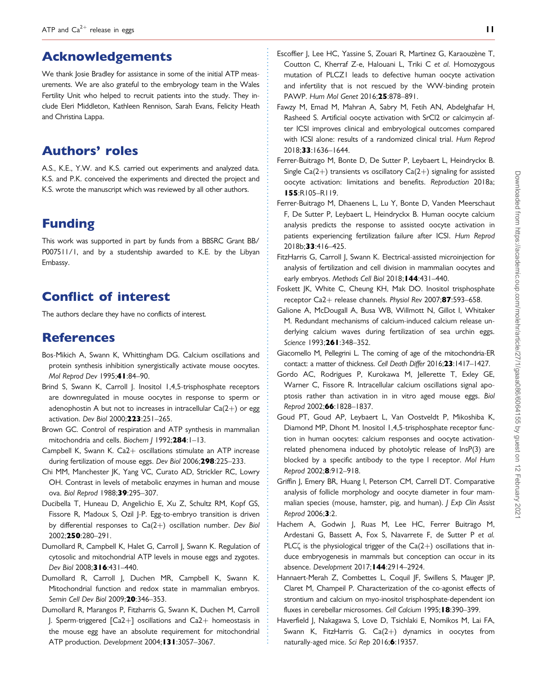## <span id="page-10-0"></span>Acknowledgements

We thank Josie Bradley for assistance in some of the initial ATP measurements. We are also grateful to the embryology team in the Wales Fertility Unit who helped to recruit patients into the study. They include Eleri Middleton, Kathleen Rennison, Sarah Evans, Felicity Heath and Christina Lappa.

## Authors' roles

A.S., K.E., Y.W. and K.S. carried out experiments and analyzed data. K.S. and P.K. conceived the experiments and directed the project and K.S. wrote the manuscript which was reviewed by all other authors.

## Funding

This work was supported in part by funds from a BBSRC Grant BB/ P007511/1, and by a studentship awarded to K.E. by the Libyan Embassy.

# Conflict of interest

The authors declare they have no conflicts of interest.

## **References**

- Bos-Mikich A, Swann K, Whittingham DG. Calcium oscillations and protein synthesis inhibition synergistically activate mouse oocytes. Mol Reprod Dev 1995;41:84–90.
- Brind S, Swann K, Carroll J. Inositol 1,4,5-trisphosphate receptors are downregulated in mouse oocytes in response to sperm or adenophostin A but not to increases in intracellular  $Ca(2+)$  or egg activation. Dev Biol 2000;223:251–265.
- Brown GC. Control of respiration and ATP synthesis in mammalian mitochondria and cells. Biochem J 1992;284:1-13.
- Campbell K, Swann K. Ca $2+$  oscillations stimulate an ATP increase during fertilization of mouse eggs. Dev Biol 2006;298:225–233.
- Chi MM, Manchester JK, Yang VC, Curato AD, Strickler RC, Lowry OH. Contrast in levels of metabolic enzymes in human and mouse ova. Biol Reprod 1988;39:295–307.
- Ducibella T, Huneau D, Angelichio E, Xu Z, Schultz RM, Kopf GS, Fissore R, Madoux S, Ozil J-P. Egg-to-embryo transition is driven by differential responses to  $Ca(2+)$  oscillation number. Dev Biol 2002;250:280–291.
- Dumollard R, Campbell K, Halet G, Carroll J, Swann K. Regulation of cytosolic and mitochondrial ATP levels in mouse eggs and zygotes. Dev Biol 2008;3 16:431-440.
- Dumollard R, Carroll J, Duchen MR, Campbell K, Swann K. Mitochondrial function and redox state in mammalian embryos. Semin Cell Dev Biol 2009;20:346–353.
- Dumollard R, Marangos P, Fitzharris G, Swann K, Duchen M, Carroll  $I.$  Sperm-triggered  $[Ca2+]$  oscillations and  $Ca2+$  homeostasis in the mouse egg have an absolute requirement for mitochondrial ATP production. Development 2004;131:3057–3067.

. . . . . . . . . . . . . . . . . . . . . . . . . . . . . . . . . . . . . . . . . . . . . . . . . . . . . . . . . . . . . . . . . . . . . . . . . . . . . . . . . . . . . . . . . . . . . . . . . . . . . . . . . . . . . . . . . . . . . . . . . . . . . . . . . . . . . . . . . . . . . . . . . . . . . . . . . . . . . . . . . . . . . . . . . . . . . .

- Escoffier J, Lee HC, Yassine S, Zouari R, Martinez G, Karaouzène T, Coutton C, Kherraf Z-e, Halouani L, Triki C et al. Homozygous mutation of PLCZ1 leads to defective human oocyte activation and infertility that is not rescued by the WW-binding protein PAWP. Hum Mol Genet 2016;25:878–891.
- Fawzy M, Emad M, Mahran A, Sabry M, Fetih AN, Abdelghafar H, Rasheed S. Artificial oocyte activation with SrCl2 or calcimycin after ICSI improves clinical and embryological outcomes compared with ICSI alone: results of a randomized clinical trial. Hum Reprod 2018;33:1636–1644.
- Ferrer-Buitrago M, Bonte D, De Sutter P, Leybaert L, Heindryckx B. Single Ca(2+) transients vs oscillatory Ca(2+) signaling for assisted oocyte activation: limitations and benefits. Reproduction 2018a; 155:R105–R119.
- Ferrer-Buitrago M, Dhaenens L, Lu Y, Bonte D, Vanden Meerschaut F, De Sutter P, Leybaert L, Heindryckx B. Human oocyte calcium analysis predicts the response to assisted oocyte activation in patients experiencing fertilization failure after ICSI. Hum Reprod 2018b;33:416–425.
- FitzHarris G, Carroll J, Swann K. Electrical-assisted microinjection for analysis of fertilization and cell division in mammalian oocytes and early embryos. Methods Cell Biol 2018; 144:431-440.
- Foskett JK, White C, Cheung KH, Mak DO. Inositol trisphosphate receptor Ca2+ release channels. Physiol Rev 2007; $87:593-658$ .
- Galione A, McDougall A, Busa WB, Willmott N, Gillot I, Whitaker M. Redundant mechanisms of calcium-induced calcium release underlying calcium waves during fertilization of sea urchin eggs. Science 1993;261:348-352.
- Giacomello M, Pellegrini L. The coming of age of the mitochondria-ER contact: a matter of thickness. Cell Death Differ 2016;23:1417–1427.
- Gordo AC, Rodrigues P, Kurokawa M, Jellerette T, Exley GE, Warner C, Fissore R. Intracellular calcium oscillations signal apoptosis rather than activation in in vitro aged mouse eggs. Biol Reprod 2002;66:1828–1837.
- Goud PT, Goud AP, Leybaert L, Van Oostveldt P, Mikoshiba K, Diamond MP, Dhont M. Inositol 1,4,5-trisphosphate receptor function in human oocytes: calcium responses and oocyte activationrelated phenomena induced by photolytic release of InsP(3) are blocked by a specific antibody to the type I receptor. Mol Hum Reprod 2002;8:912–918.
- Griffin J, Emery BR, Huang I, Peterson CM, Carrell DT. Comparative analysis of follicle morphology and oocyte diameter in four mammalian species (mouse, hamster, pig, and human). J Exp Clin Assist Reprod 2006;3:2.
- Hachem A, Godwin J, Ruas M, Lee HC, Ferrer Buitrago M, Ardestani G, Bassett A, Fox S, Navarrete F, de Sutter P et al. PLC $\zeta$  is the physiological trigger of the  $Ca(2+)$  oscillations that induce embryogenesis in mammals but conception can occur in its absence. Development 2017;144:2914–2924.
- Hannaert-Merah Z, Combettes L, Coquil JF, Swillens S, Mauger JP, Claret M, Champeil P. Characterization of the co-agonist effects of strontium and calcium on myo-inositol trisphosphate-dependent ion fluxes in cerebellar microsomes. Cell Calcium 1995;18:390-399.
- Haverfield J, Nakagawa S, Love D, Tsichlaki E, Nomikos M, Lai FA, Swann K, FitzHarris G.  $Ca(2+)$  dynamics in oocytes from naturally-aged mice. Sci Rep 2016;6:19357.